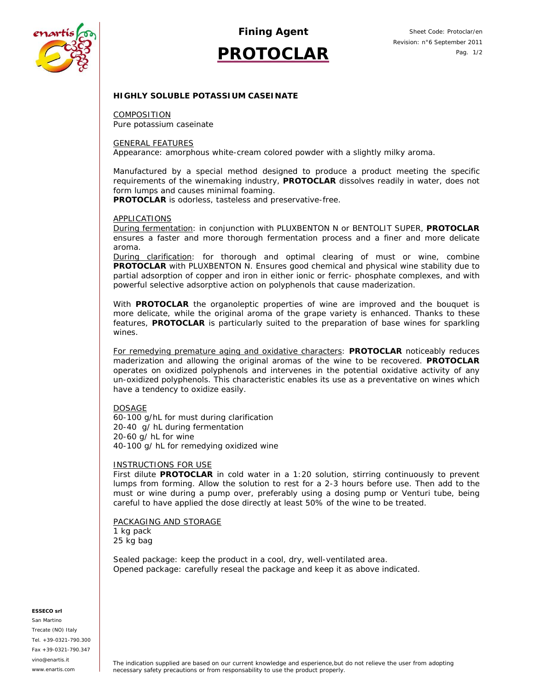

*Fining Agent*

# **PROTOCLAR**

# **HIGHLY SOLUBLE POTASSIUM CASEINATE**

COMPOSITION Pure potassium caseinate

## GENERAL FEATURES

Appearance: amorphous white-cream colored powder with a slightly milky aroma.

Manufactured by a special method designed to produce a product meeting the specific requirements of the winemaking industry, **PROTOCLAR** dissolves readily in water, does not form lumps and causes minimal foaming.

**PROTOCLAR** is odorless, tasteless and preservative-free.

### APPLICATIONS

During fermentation: in conjunction with PLUXBENTON N or BENTOLIT SUPER, **PROTOCLAR** ensures a faster and more thorough fermentation process and a finer and more delicate aroma.

During clarification: for thorough and optimal clearing of must or wine, combine **PROTOCLAR** with PLUXBENTON N. Ensures good chemical and physical wine stability due to partial adsorption of copper and iron in either ionic or ferric- phosphate complexes, and with powerful selective adsorptive action on polyphenols that cause maderization.

With **PROTOCLAR** the organoleptic properties of wine are improved and the bouquet is more delicate, while the original aroma of the grape variety is enhanced. Thanks to these features, **PROTOCLAR** is particularly suited to the preparation of base wines for sparkling wines.

For remedying premature aging and oxidative characters: **PROTOCLAR** noticeably reduces maderization and allowing the original aromas of the wine to be recovered. **PROTOCLAR** operates on oxidized polyphenols and intervenes in the potential oxidative activity of any un-oxidized polyphenols. This characteristic enables its use as a preventative on wines which have a tendency to oxidize easily.

### DOSAGE

60-100 g/hL for must during clarification 20-40 g/ hL during fermentation 20-60 g/ hL for wine 40-100 g/ hL for remedying oxidized wine

### INSTRUCTIONS FOR USE

First dilute **PROTOCLAR** in cold water in a 1:20 solution, stirring continuously to prevent lumps from forming. Allow the solution to rest for a 2-3 hours before use. Then add to the must or wine during a pump over, preferably using a dosing pump or Venturi tube, being careful to have applied the dose directly at least 50% of the wine to be treated.

## PACKAGING AND STORAGE

1 kg pack 25 kg bag

Sealed package: keep the product in a cool, dry, well-ventilated area. Opened package: carefully reseal the package and keep it as above indicated.

#### **ESSECO srl**

San Martino Trecate (NO) Italy Tel. +39-0321-790.300 Fax +39-0321-790.347 vino@enartis.it www.enartis.com